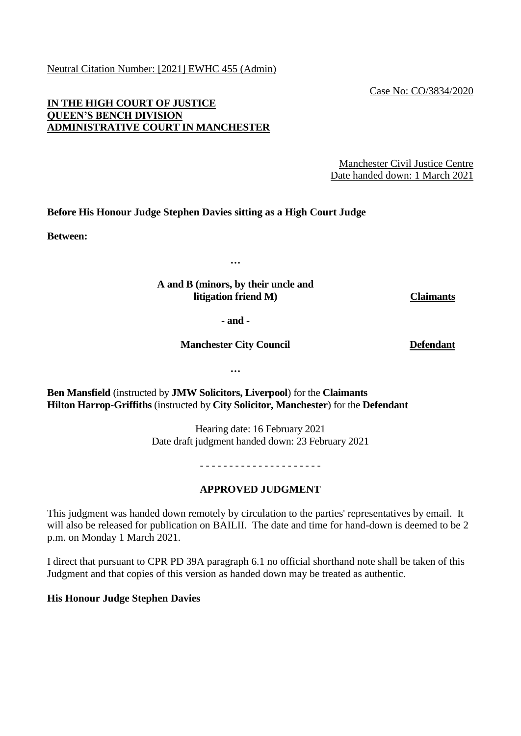Neutral Citation Number: [2021] EWHC 455 (Admin)

Case No: CO/3834/2020

### **IN THE HIGH COURT OF JUSTICE QUEEN'S BENCH DIVISION ADMINISTRATIVE COURT IN MANCHESTER**

Manchester Civil Justice Centre Date handed down: 1 March 2021

### **Before His Honour Judge Stephen Davies sitting as a High Court Judge**

**Between:**

**…**

#### **A and B (minors, by their uncle and litigation friend M) Claimants**

**- and -**

**Manchester City Council**

**Defendant**

**…**

**Ben Mansfield** (instructed by **JMW Solicitors, Liverpool**) for the **Claimants Hilton Harrop-Griffiths** (instructed by **City Solicitor, Manchester**) for the **Defendant**

> Hearing date: 16 February 2021 Date draft judgment handed down: 23 February 2021

> > - - - - - - - - - - - - - - - - - - - - -

# **APPROVED JUDGMENT**

This judgment was handed down remotely by circulation to the parties' representatives by email. It will also be released for publication on BAILII. The date and time for hand-down is deemed to be 2 p.m. on Monday 1 March 2021.

I direct that pursuant to CPR PD 39A paragraph 6.1 no official shorthand note shall be taken of this Judgment and that copies of this version as handed down may be treated as authentic.

**His Honour Judge Stephen Davies**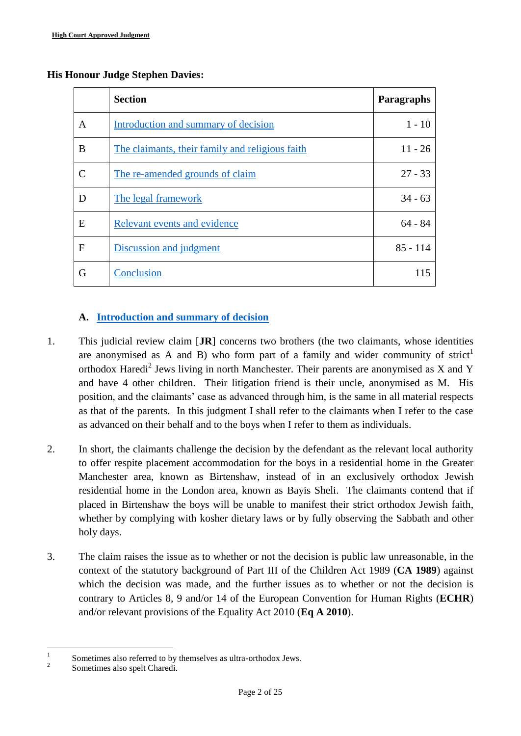#### **His Honour Judge Stephen Davies:**

<span id="page-1-1"></span>

|   | <b>Section</b>                                  | Paragraphs |
|---|-------------------------------------------------|------------|
| A | Introduction and summary of decision            | $1 - 10$   |
| B | The claimants, their family and religious faith | $11 - 26$  |
|   | The re-amended grounds of claim                 | $27 - 33$  |
| D | The legal framework                             | $34 - 63$  |
| E | Relevant events and evidence                    | $64 - 84$  |
| F | Discussion and judgment                         | $85 - 114$ |
| G | Conclusion                                      | 115        |

# <span id="page-1-0"></span>**A. [Introduction and summary of decision](#page-1-1)**

- 1. This judicial review claim [**JR**] concerns two brothers (the two claimants, whose identities are anonymised as A and B) who form part of a family and wider community of strict<sup>1</sup> orthodox Haredi<sup>2</sup> Jews living in north Manchester. Their parents are anonymised as X and Y and have 4 other children. Their litigation friend is their uncle, anonymised as M. His position, and the claimants' case as advanced through him, is the same in all material respects as that of the parents. In this judgment I shall refer to the claimants when I refer to the case as advanced on their behalf and to the boys when I refer to them as individuals.
- 2. In short, the claimants challenge the decision by the defendant as the relevant local authority to offer respite placement accommodation for the boys in a residential home in the Greater Manchester area, known as Birtenshaw, instead of in an exclusively orthodox Jewish residential home in the London area, known as Bayis Sheli. The claimants contend that if placed in Birtenshaw the boys will be unable to manifest their strict orthodox Jewish faith, whether by complying with kosher dietary laws or by fully observing the Sabbath and other holy days.
- 3. The claim raises the issue as to whether or not the decision is public law unreasonable, in the context of the statutory background of Part III of the Children Act 1989 (**CA 1989**) against which the decision was made, and the further issues as to whether or not the decision is contrary to Articles 8, 9 and/or 14 of the European Convention for Human Rights (**ECHR**) and/or relevant provisions of the Equality Act 2010 (**Eq A 2010**).

 $\frac{1}{1}$ Sometimes also referred to by themselves as ultra-orthodox Jews.

<sup>2</sup> Sometimes also spelt Charedi.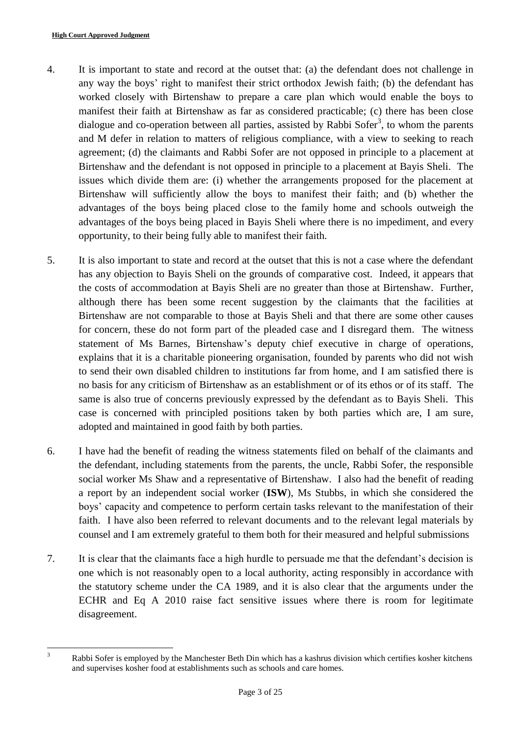- 4. It is important to state and record at the outset that: (a) the defendant does not challenge in any way the boys' right to manifest their strict orthodox Jewish faith; (b) the defendant has worked closely with Birtenshaw to prepare a care plan which would enable the boys to manifest their faith at Birtenshaw as far as considered practicable; (c) there has been close dialogue and co-operation between all parties, assisted by Rabbi Sofer<sup>3</sup>, to whom the parents and M defer in relation to matters of religious compliance, with a view to seeking to reach agreement; (d) the claimants and Rabbi Sofer are not opposed in principle to a placement at Birtenshaw and the defendant is not opposed in principle to a placement at Bayis Sheli. The issues which divide them are: (i) whether the arrangements proposed for the placement at Birtenshaw will sufficiently allow the boys to manifest their faith; and (b) whether the advantages of the boys being placed close to the family home and schools outweigh the advantages of the boys being placed in Bayis Sheli where there is no impediment, and every opportunity, to their being fully able to manifest their faith.
- 5. It is also important to state and record at the outset that this is not a case where the defendant has any objection to Bayis Sheli on the grounds of comparative cost. Indeed, it appears that the costs of accommodation at Bayis Sheli are no greater than those at Birtenshaw. Further, although there has been some recent suggestion by the claimants that the facilities at Birtenshaw are not comparable to those at Bayis Sheli and that there are some other causes for concern, these do not form part of the pleaded case and I disregard them. The witness statement of Ms Barnes, Birtenshaw's deputy chief executive in charge of operations, explains that it is a charitable pioneering organisation, founded by parents who did not wish to send their own disabled children to institutions far from home, and I am satisfied there is no basis for any criticism of Birtenshaw as an establishment or of its ethos or of its staff. The same is also true of concerns previously expressed by the defendant as to Bayis Sheli. This case is concerned with principled positions taken by both parties which are, I am sure, adopted and maintained in good faith by both parties.
- 6. I have had the benefit of reading the witness statements filed on behalf of the claimants and the defendant, including statements from the parents, the uncle, Rabbi Sofer, the responsible social worker Ms Shaw and a representative of Birtenshaw. I also had the benefit of reading a report by an independent social worker (**ISW**), Ms Stubbs, in which she considered the boys' capacity and competence to perform certain tasks relevant to the manifestation of their faith. I have also been referred to relevant documents and to the relevant legal materials by counsel and I am extremely grateful to them both for their measured and helpful submissions
- 7. It is clear that the claimants face a high hurdle to persuade me that the defendant's decision is one which is not reasonably open to a local authority, acting responsibly in accordance with the statutory scheme under the CA 1989, and it is also clear that the arguments under the ECHR and Eq A 2010 raise fact sensitive issues where there is room for legitimate disagreement.

 $\overline{3}$ 

Rabbi Sofer is employed by the Manchester Beth Din which has a kashrus division which certifies kosher kitchens and supervises kosher food at establishments such as schools and care homes.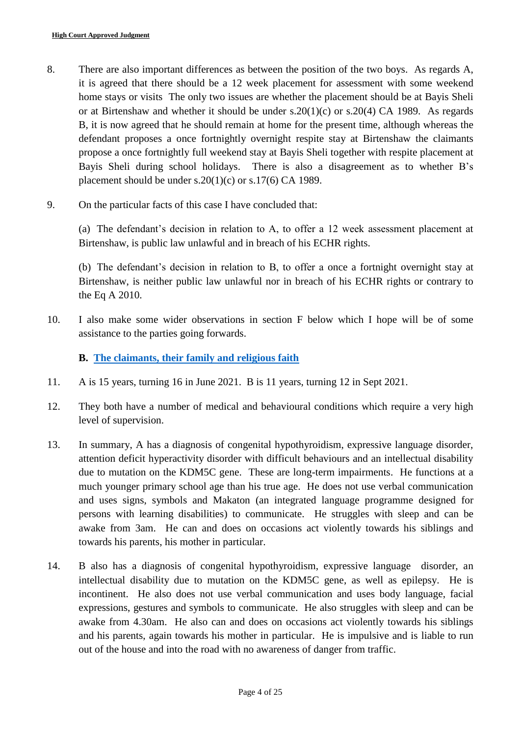- 8. There are also important differences as between the position of the two boys. As regards A, it is agreed that there should be a 12 week placement for assessment with some weekend home stays or visits The only two issues are whether the placement should be at Bayis Sheli or at Birtenshaw and whether it should be under s.20(1)(c) or s.20(4) CA 1989. As regards B, it is now agreed that he should remain at home for the present time, although whereas the defendant proposes a once fortnightly overnight respite stay at Birtenshaw the claimants propose a once fortnightly full weekend stay at Bayis Sheli together with respite placement at Bayis Sheli during school holidays. There is also a disagreement as to whether B's placement should be under s.20(1)(c) or s.17(6) CA 1989.
- 9. On the particular facts of this case I have concluded that:

(a) The defendant's decision in relation to A, to offer a 12 week assessment placement at Birtenshaw, is public law unlawful and in breach of his ECHR rights.

(b) The defendant's decision in relation to B, to offer a once a fortnight overnight stay at Birtenshaw, is neither public law unlawful nor in breach of his ECHR rights or contrary to the Eq A 2010.

10. I also make some wider observations in section F below which I hope will be of some assistance to the parties going forwards.

**B. [The claimants, their family and religious faith](#page-1-1)**

- <span id="page-3-0"></span>11. A is 15 years, turning 16 in June 2021. B is 11 years, turning 12 in Sept 2021.
- 12. They both have a number of medical and behavioural conditions which require a very high level of supervision.
- 13. In summary, A has a diagnosis of congenital hypothyroidism, expressive language disorder, attention deficit hyperactivity disorder with difficult behaviours and an intellectual disability due to mutation on the KDM5C gene. These are long-term impairments. He functions at a much younger primary school age than his true age. He does not use verbal communication and uses signs, symbols and Makaton (an integrated language programme designed for persons with learning disabilities) to communicate. He struggles with sleep and can be awake from 3am. He can and does on occasions act violently towards his siblings and towards his parents, his mother in particular.
- 14. B also has a diagnosis of congenital hypothyroidism, expressive language disorder, an intellectual disability due to mutation on the KDM5C gene, as well as epilepsy. He is incontinent. He also does not use verbal communication and uses body language, facial expressions, gestures and symbols to communicate. He also struggles with sleep and can be awake from 4.30am. He also can and does on occasions act violently towards his siblings and his parents, again towards his mother in particular. He is impulsive and is liable to run out of the house and into the road with no awareness of danger from traffic.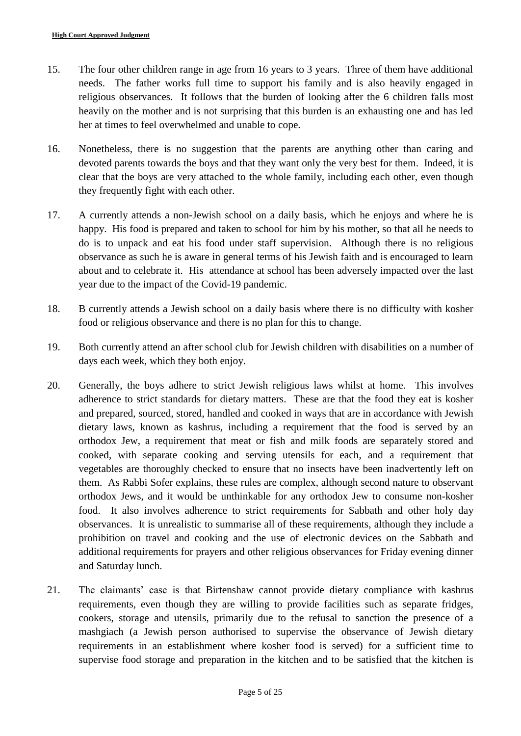- 15. The four other children range in age from 16 years to 3 years. Three of them have additional needs. The father works full time to support his family and is also heavily engaged in religious observances. It follows that the burden of looking after the 6 children falls most heavily on the mother and is not surprising that this burden is an exhausting one and has led her at times to feel overwhelmed and unable to cope.
- 16. Nonetheless, there is no suggestion that the parents are anything other than caring and devoted parents towards the boys and that they want only the very best for them. Indeed, it is clear that the boys are very attached to the whole family, including each other, even though they frequently fight with each other.
- 17. A currently attends a non-Jewish school on a daily basis, which he enjoys and where he is happy. His food is prepared and taken to school for him by his mother, so that all he needs to do is to unpack and eat his food under staff supervision. Although there is no religious observance as such he is aware in general terms of his Jewish faith and is encouraged to learn about and to celebrate it. His attendance at school has been adversely impacted over the last year due to the impact of the Covid-19 pandemic.
- 18. B currently attends a Jewish school on a daily basis where there is no difficulty with kosher food or religious observance and there is no plan for this to change.
- 19. Both currently attend an after school club for Jewish children with disabilities on a number of days each week, which they both enjoy.
- 20. Generally, the boys adhere to strict Jewish religious laws whilst at home. This involves adherence to strict standards for dietary matters. These are that the food they eat is kosher and prepared, sourced, stored, handled and cooked in ways that are in accordance with Jewish dietary laws, known as kashrus, including a requirement that the food is served by an orthodox Jew, a requirement that meat or fish and milk foods are separately stored and cooked, with separate cooking and serving utensils for each, and a requirement that vegetables are thoroughly checked to ensure that no insects have been inadvertently left on them. As Rabbi Sofer explains, these rules are complex, although second nature to observant orthodox Jews, and it would be unthinkable for any orthodox Jew to consume non-kosher food. It also involves adherence to strict requirements for Sabbath and other holy day observances. It is unrealistic to summarise all of these requirements, although they include a prohibition on travel and cooking and the use of electronic devices on the Sabbath and additional requirements for prayers and other religious observances for Friday evening dinner and Saturday lunch.
- 21. The claimants' case is that Birtenshaw cannot provide dietary compliance with kashrus requirements, even though they are willing to provide facilities such as separate fridges, cookers, storage and utensils, primarily due to the refusal to sanction the presence of a mashgiach (a Jewish person authorised to supervise the observance of Jewish dietary requirements in an establishment where kosher food is served) for a sufficient time to supervise food storage and preparation in the kitchen and to be satisfied that the kitchen is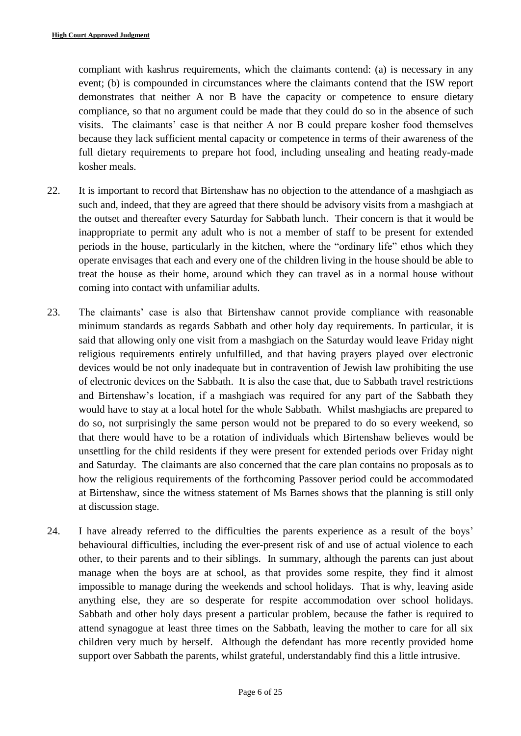compliant with kashrus requirements, which the claimants contend: (a) is necessary in any event; (b) is compounded in circumstances where the claimants contend that the ISW report demonstrates that neither A nor B have the capacity or competence to ensure dietary compliance, so that no argument could be made that they could do so in the absence of such visits. The claimants' case is that neither A nor B could prepare kosher food themselves because they lack sufficient mental capacity or competence in terms of their awareness of the full dietary requirements to prepare hot food, including unsealing and heating ready-made kosher meals.

- 22. It is important to record that Birtenshaw has no objection to the attendance of a mashgiach as such and, indeed, that they are agreed that there should be advisory visits from a mashgiach at the outset and thereafter every Saturday for Sabbath lunch. Their concern is that it would be inappropriate to permit any adult who is not a member of staff to be present for extended periods in the house, particularly in the kitchen, where the "ordinary life" ethos which they operate envisages that each and every one of the children living in the house should be able to treat the house as their home, around which they can travel as in a normal house without coming into contact with unfamiliar adults.
- 23. The claimants' case is also that Birtenshaw cannot provide compliance with reasonable minimum standards as regards Sabbath and other holy day requirements. In particular, it is said that allowing only one visit from a mashgiach on the Saturday would leave Friday night religious requirements entirely unfulfilled, and that having prayers played over electronic devices would be not only inadequate but in contravention of Jewish law prohibiting the use of electronic devices on the Sabbath. It is also the case that, due to Sabbath travel restrictions and Birtenshaw's location, if a mashgiach was required for any part of the Sabbath they would have to stay at a local hotel for the whole Sabbath. Whilst mashgiachs are prepared to do so, not surprisingly the same person would not be prepared to do so every weekend, so that there would have to be a rotation of individuals which Birtenshaw believes would be unsettling for the child residents if they were present for extended periods over Friday night and Saturday. The claimants are also concerned that the care plan contains no proposals as to how the religious requirements of the forthcoming Passover period could be accommodated at Birtenshaw, since the witness statement of Ms Barnes shows that the planning is still only at discussion stage.
- 24. I have already referred to the difficulties the parents experience as a result of the boys' behavioural difficulties, including the ever-present risk of and use of actual violence to each other, to their parents and to their siblings. In summary, although the parents can just about manage when the boys are at school, as that provides some respite, they find it almost impossible to manage during the weekends and school holidays. That is why, leaving aside anything else, they are so desperate for respite accommodation over school holidays. Sabbath and other holy days present a particular problem, because the father is required to attend synagogue at least three times on the Sabbath, leaving the mother to care for all six children very much by herself. Although the defendant has more recently provided home support over Sabbath the parents, whilst grateful, understandably find this a little intrusive.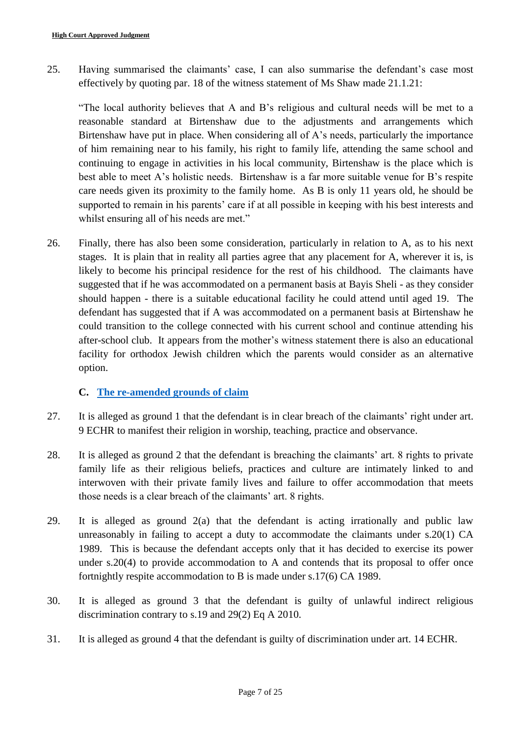25. Having summarised the claimants' case, I can also summarise the defendant's case most effectively by quoting par. 18 of the witness statement of Ms Shaw made 21.1.21:

"The local authority believes that A and B's religious and cultural needs will be met to a reasonable standard at Birtenshaw due to the adjustments and arrangements which Birtenshaw have put in place. When considering all of A's needs, particularly the importance of him remaining near to his family, his right to family life, attending the same school and continuing to engage in activities in his local community, Birtenshaw is the place which is best able to meet A's holistic needs. Birtenshaw is a far more suitable venue for B's respite care needs given its proximity to the family home. As B is only 11 years old, he should be supported to remain in his parents' care if at all possible in keeping with his best interests and whilst ensuring all of his needs are met."

26. Finally, there has also been some consideration, particularly in relation to A, as to his next stages. It is plain that in reality all parties agree that any placement for A, wherever it is, is likely to become his principal residence for the rest of his childhood. The claimants have suggested that if he was accommodated on a permanent basis at Bayis Sheli - as they consider should happen - there is a suitable educational facility he could attend until aged 19. The defendant has suggested that if A was accommodated on a permanent basis at Birtenshaw he could transition to the college connected with his current school and continue attending his after-school club. It appears from the mother's witness statement there is also an educational facility for orthodox Jewish children which the parents would consider as an alternative option.

# **C. [The re-amended grounds of claim](#page-1-1)**

- <span id="page-6-0"></span>27. It is alleged as ground 1 that the defendant is in clear breach of the claimants' right under art. 9 ECHR to manifest their religion in worship, teaching, practice and observance.
- 28. It is alleged as ground 2 that the defendant is breaching the claimants' art. 8 rights to private family life as their religious beliefs, practices and culture are intimately linked to and interwoven with their private family lives and failure to offer accommodation that meets those needs is a clear breach of the claimants' art. 8 rights.
- 29. It is alleged as ground 2(a) that the defendant is acting irrationally and public law unreasonably in failing to accept a duty to accommodate the claimants under s.20(1) CA 1989. This is because the defendant accepts only that it has decided to exercise its power under s.20(4) to provide accommodation to A and contends that its proposal to offer once fortnightly respite accommodation to B is made under s.17(6) CA 1989.
- 30. It is alleged as ground 3 that the defendant is guilty of unlawful indirect religious discrimination contrary to s.19 and 29(2) Eq A 2010.
- 31. It is alleged as ground 4 that the defendant is guilty of discrimination under art. 14 ECHR.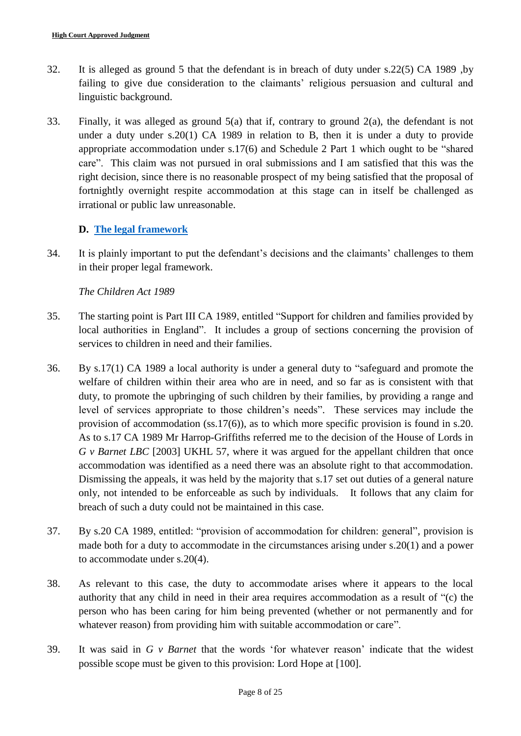- 32. It is alleged as ground 5 that the defendant is in breach of duty under s.22(5) CA 1989 ,by failing to give due consideration to the claimants' religious persuasion and cultural and linguistic background.
- 33. Finally, it was alleged as ground 5(a) that if, contrary to ground 2(a), the defendant is not under a duty under s.20(1) CA 1989 in relation to B, then it is under a duty to provide appropriate accommodation under s.17(6) and Schedule 2 Part 1 which ought to be "shared care". This claim was not pursued in oral submissions and I am satisfied that this was the right decision, since there is no reasonable prospect of my being satisfied that the proposal of fortnightly overnight respite accommodation at this stage can in itself be challenged as irrational or public law unreasonable.

# **D. [The legal framework](#page-1-1)**

<span id="page-7-0"></span>34. It is plainly important to put the defendant's decisions and the claimants' challenges to them in their proper legal framework.

# *The Children Act 1989*

- 35. The starting point is Part III CA 1989, entitled "Support for children and families provided by local authorities in England". It includes a group of sections concerning the provision of services to children in need and their families.
- 36. By s.17(1) CA 1989 a local authority is under a general duty to "safeguard and promote the welfare of children within their area who are in need, and so far as is consistent with that duty, to promote the upbringing of such children by their families, by providing a range and level of services appropriate to those children's needs". These services may include the provision of accommodation (ss.17(6)), as to which more specific provision is found in s.20. As to s.17 CA 1989 Mr Harrop-Griffiths referred me to the decision of the House of Lords in *G v Barnet LBC* [2003] UKHL 57, where it was argued for the appellant children that once accommodation was identified as a need there was an absolute right to that accommodation. Dismissing the appeals, it was held by the majority that s.17 set out duties of a general nature only, not intended to be enforceable as such by individuals. It follows that any claim for breach of such a duty could not be maintained in this case.
- 37. By s.20 CA 1989, entitled: "provision of accommodation for children: general", provision is made both for a duty to accommodate in the circumstances arising under s.20(1) and a power to accommodate under s.20(4).
- 38. As relevant to this case, the duty to accommodate arises where it appears to the local authority that any child in need in their area requires accommodation as a result of "(c) the person who has been caring for him being prevented (whether or not permanently and for whatever reason) from providing him with suitable accommodation or care".
- 39. It was said in *G v Barnet* that the words 'for whatever reason' indicate that the widest possible scope must be given to this provision: Lord Hope at [100].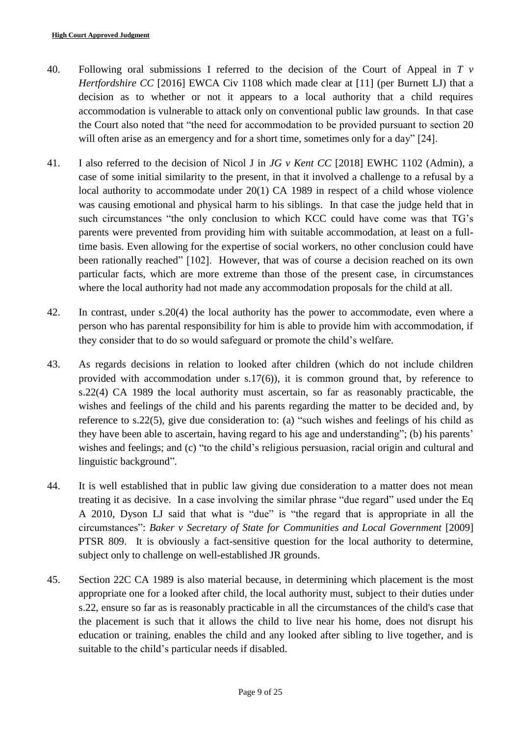- 40. Following oral submissions I referred to the decision of the Court of Appeal in *T v Hertfordshire CC* [2016] EWCA Civ 1108 which made clear at [11] (per Burnett LJ) that a decision as to whether or not it appears to a local authority that a child requires accommodation is vulnerable to attack only on conventional public law grounds. In that case the Court also noted that "the need for accommodation to be provided pursuant to section 20 will often arise as an emergency and for a short time, sometimes only for a day" [24].
- 41. I also referred to the decision of Nicol J in *JG v Kent CC* [2018] EWHC 1102 (Admin), a case of some initial similarity to the present, in that it involved a challenge to a refusal by a local authority to accommodate under 20(1) CA 1989 in respect of a child whose violence was causing emotional and physical harm to his siblings. In that case the judge held that in such circumstances "the only conclusion to which KCC could have come was that TG's parents were prevented from providing him with suitable accommodation, at least on a fulltime basis. Even allowing for the expertise of social workers, no other conclusion could have been rationally reached" [102]. However, that was of course a decision reached on its own particular facts, which are more extreme than those of the present case, in circumstances where the local authority had not made any accommodation proposals for the child at all.
- 42. In contrast, under s.20(4) the local authority has the power to accommodate, even where a person who has parental responsibility for him is able to provide him with accommodation, if they consider that to do so would safeguard or promote the child's welfare.
- 43. As regards decisions in relation to looked after children (which do not include children provided with accommodation under s.17(6)), it is common ground that, by reference to s.22(4) CA 1989 the local authority must ascertain, so far as reasonably practicable, the wishes and feelings of the child and his parents regarding the matter to be decided and, by reference to s.22(5), give due consideration to: (a) "such wishes and feelings of his child as they have been able to ascertain, having regard to his age and understanding"; (b) his parents' wishes and feelings; and (c) "to the child's religious persuasion, racial origin and cultural and linguistic background".
- 44. It is well established that in public law giving due consideration to a matter does not mean treating it as decisive. In a case involving the similar phrase "due regard" used under the Eq A 2010, Dyson LJ said that what is "due" is "the regard that is appropriate in all the circumstances": *Baker v Secretary of State for Communities and Local Government* [2009] PTSR 809. It is obviously a fact-sensitive question for the local authority to determine, subject only to challenge on well-established JR grounds.
- 45. Section 22C CA 1989 is also material because, in determining which placement is the most appropriate one for a looked after child, the local authority must, subject to their duties under s.22, ensure so far as is reasonably practicable in all the circumstances of the child's case that the placement is such that it allows the child to live near his home, does not disrupt his education or training, enables the child and any looked after sibling to live together, and is suitable to the child's particular needs if disabled.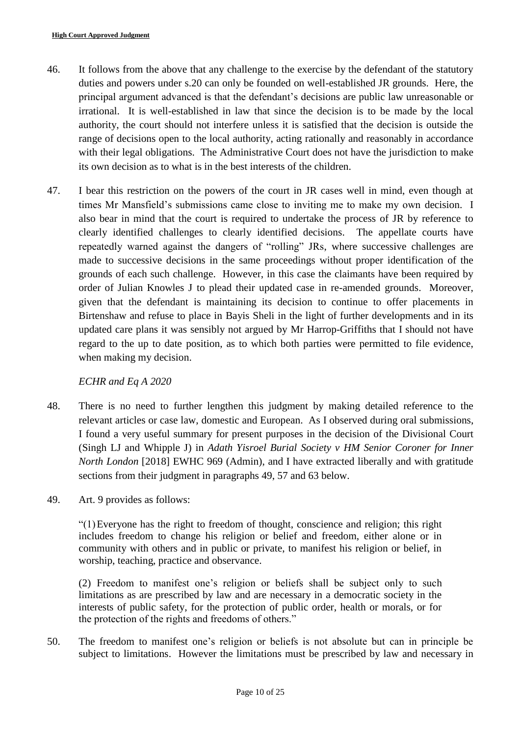- 46. It follows from the above that any challenge to the exercise by the defendant of the statutory duties and powers under s.20 can only be founded on well-established JR grounds. Here, the principal argument advanced is that the defendant's decisions are public law unreasonable or irrational. It is well-established in law that since the decision is to be made by the local authority, the court should not interfere unless it is satisfied that the decision is outside the range of decisions open to the local authority, acting rationally and reasonably in accordance with their legal obligations. The Administrative Court does not have the jurisdiction to make its own decision as to what is in the best interests of the children.
- 47. I bear this restriction on the powers of the court in JR cases well in mind, even though at times Mr Mansfield's submissions came close to inviting me to make my own decision. I also bear in mind that the court is required to undertake the process of JR by reference to clearly identified challenges to clearly identified decisions. The appellate courts have repeatedly warned against the dangers of "rolling" JRs, where successive challenges are made to successive decisions in the same proceedings without proper identification of the grounds of each such challenge. However, in this case the claimants have been required by order of Julian Knowles J to plead their updated case in re-amended grounds. Moreover, given that the defendant is maintaining its decision to continue to offer placements in Birtenshaw and refuse to place in Bayis Sheli in the light of further developments and in its updated care plans it was sensibly not argued by Mr Harrop-Griffiths that I should not have regard to the up to date position, as to which both parties were permitted to file evidence, when making my decision.

# *ECHR and Eq A 2020*

- 48. There is no need to further lengthen this judgment by making detailed reference to the relevant articles or case law, domestic and European. As I observed during oral submissions, I found a very useful summary for present purposes in the decision of the Divisional Court (Singh LJ and Whipple J) in *Adath Yisroel Burial Society v HM Senior Coroner for Inner North London* [2018] EWHC 969 (Admin), and I have extracted liberally and with gratitude sections from their judgment in paragraphs 49, 57 and 63 below.
- 49. Art. 9 provides as follows:

"(1)Everyone has the right to freedom of thought, conscience and religion; this right includes freedom to change his religion or belief and freedom, either alone or in community with others and in public or private, to manifest his religion or belief, in worship, teaching, practice and observance.

(2) Freedom to manifest one's religion or beliefs shall be subject only to such limitations as are prescribed by law and are necessary in a democratic society in the interests of public safety, for the protection of public order, health or morals, or for the protection of the rights and freedoms of others."

50. The freedom to manifest one's religion or beliefs is not absolute but can in principle be subject to limitations. However the limitations must be prescribed by law and necessary in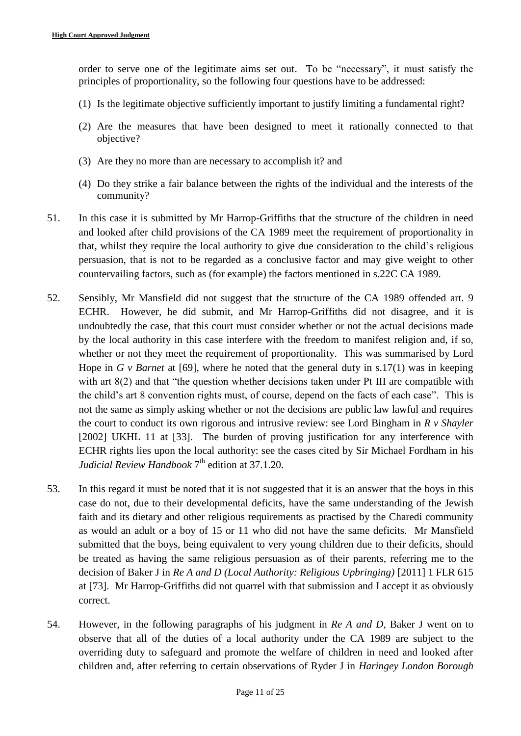order to serve one of the legitimate aims set out. To be "necessary", it must satisfy the principles of proportionality, so the following four questions have to be addressed:

- (1) Is the legitimate objective sufficiently important to justify limiting a fundamental right?
- (2) Are the measures that have been designed to meet it rationally connected to that objective?
- (3) Are they no more than are necessary to accomplish it? and
- (4) Do they strike a fair balance between the rights of the individual and the interests of the community?
- 51. In this case it is submitted by Mr Harrop-Griffiths that the structure of the children in need and looked after child provisions of the CA 1989 meet the requirement of proportionality in that, whilst they require the local authority to give due consideration to the child's religious persuasion, that is not to be regarded as a conclusive factor and may give weight to other countervailing factors, such as (for example) the factors mentioned in s.22C CA 1989.
- 52. Sensibly, Mr Mansfield did not suggest that the structure of the CA 1989 offended art. 9 ECHR. However, he did submit, and Mr Harrop-Griffiths did not disagree, and it is undoubtedly the case, that this court must consider whether or not the actual decisions made by the local authority in this case interfere with the freedom to manifest religion and, if so, whether or not they meet the requirement of proportionality. This was summarised by Lord Hope in *G v Barnet* at [69], where he noted that the general duty in s.17(1) was in keeping with art 8(2) and that "the question whether decisions taken under Pt III are compatible with the child's art 8 convention rights must, of course, depend on the facts of each case". This is not the same as simply asking whether or not the decisions are public law lawful and requires the court to conduct its own rigorous and intrusive review: see Lord Bingham in *R v Shayler* [2002] UKHL 11 at [33]. The burden of proving justification for any interference with ECHR rights lies upon the local authority: see the cases cited by Sir Michael Fordham in his Judicial Review Handbook 7<sup>th</sup> edition at 37.1.20.
- 53. In this regard it must be noted that it is not suggested that it is an answer that the boys in this case do not, due to their developmental deficits, have the same understanding of the Jewish faith and its dietary and other religious requirements as practised by the Charedi community as would an adult or a boy of 15 or 11 who did not have the same deficits. Mr Mansfield submitted that the boys, being equivalent to very young children due to their deficits, should be treated as having the same religious persuasion as of their parents, referring me to the decision of Baker J in *Re A and D (Local Authority: Religious Upbringing)* [2011] 1 FLR 615 at [73]. Mr Harrop-Griffiths did not quarrel with that submission and I accept it as obviously correct.
- 54. However, in the following paragraphs of his judgment in *Re A and D*, Baker J went on to observe that all of the duties of a local authority under the CA 1989 are subject to the overriding duty to safeguard and promote the welfare of children in need and looked after children and, after referring to certain observations of Ryder J in *Haringey London Borough*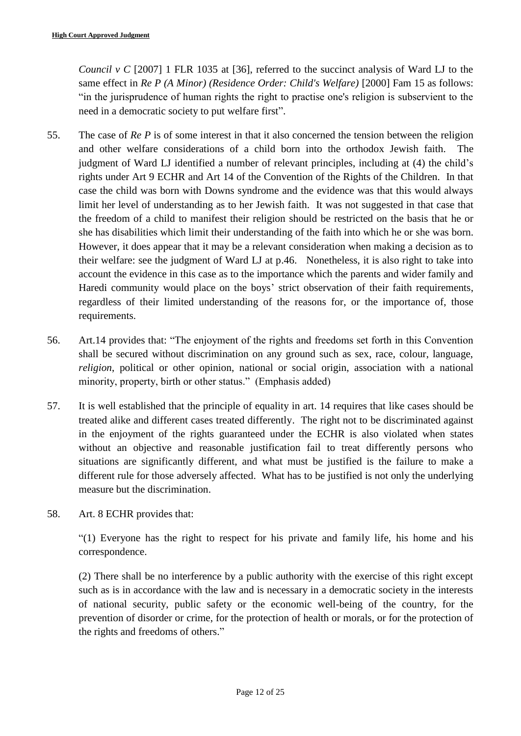*Council v C* [2007] 1 FLR 1035 at [36], referred to the succinct analysis of Ward LJ to the same effect in *Re P (A Minor) (Residence Order: Child's Welfare)* [2000] Fam 15 as follows: "in the jurisprudence of human rights the right to practise one's religion is subservient to the need in a democratic society to put welfare first".

- 55. The case of *Re P* is of some interest in that it also concerned the tension between the religion and other welfare considerations of a child born into the orthodox Jewish faith. The judgment of Ward LJ identified a number of relevant principles, including at (4) the child's rights under Art 9 ECHR and Art 14 of the Convention of the Rights of the Children. In that case the child was born with Downs syndrome and the evidence was that this would always limit her level of understanding as to her Jewish faith. It was not suggested in that case that the freedom of a child to manifest their religion should be restricted on the basis that he or she has disabilities which limit their understanding of the faith into which he or she was born. However, it does appear that it may be a relevant consideration when making a decision as to their welfare: see the judgment of Ward LJ at p.46. Nonetheless, it is also right to take into account the evidence in this case as to the importance which the parents and wider family and Haredi community would place on the boys' strict observation of their faith requirements, regardless of their limited understanding of the reasons for, or the importance of, those requirements.
- 56. Art.14 provides that: "The enjoyment of the rights and freedoms set forth in this Convention shall be secured without discrimination on any ground such as sex, race, colour, language, *religion*, political or other opinion, national or social origin, association with a national minority, property, birth or other status." (Emphasis added)
- 57. It is well established that the principle of equality in art. 14 requires that like cases should be treated alike and different cases treated differently. The right not to be discriminated against in the enjoyment of the rights guaranteed under the ECHR is also violated when states without an objective and reasonable justification fail to treat differently persons who situations are significantly different, and what must be justified is the failure to make a different rule for those adversely affected. What has to be justified is not only the underlying measure but the discrimination.
- 58. Art. 8 ECHR provides that:

"(1) Everyone has the right to respect for his private and family life, his home and his correspondence.

(2) There shall be no interference by a public authority with the exercise of this right except such as is in accordance with the law and is necessary in a democratic society in the interests of national security, public safety or the economic well-being of the country, for the prevention of disorder or crime, for the protection of health or morals, or for the protection of the rights and freedoms of others."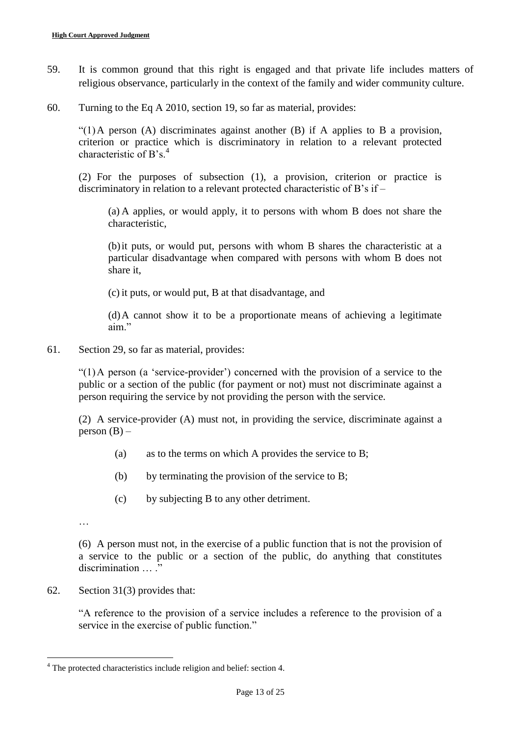- 59. It is common ground that this right is engaged and that private life includes matters of religious observance, particularly in the context of the family and wider community culture.
- 60. Turning to the Eq A 2010, section 19, so far as material, provides:

"(1)A person (A) discriminates against another (B) if A applies to B a provision, criterion or practice which is discriminatory in relation to a relevant protected characteristic of B's.<sup>4</sup>

(2) For the purposes of subsection (1), a provision, criterion or practice is discriminatory in relation to a relevant protected characteristic of B's if –

(a) A applies, or would apply, it to persons with whom B does not share the characteristic,

(b)it puts, or would put, persons with whom B shares the characteristic at a particular disadvantage when compared with persons with whom B does not share it,

(c) it puts, or would put, B at that disadvantage, and

(d)A cannot show it to be a proportionate means of achieving a legitimate aim."

61. Section 29, so far as material, provides:

"(1)A person (a 'service-provider') concerned with the provision of a service to the public or a section of the public (for payment or not) must not discriminate against a person requiring the service by not providing the person with the service.

(2) A service-provider (A) must not, in providing the service, discriminate against a person  $(B)$  –

- (a) as to the terms on which A provides the service to B;
- (b) by terminating the provision of the service to B;
- (c) by subjecting B to any other detriment.

…

1

(6) A person must not, in the exercise of a public function that is not the provision of a service to the public or a section of the public, do anything that constitutes discrimination … ."

62. Section 31(3) provides that:

"A reference to the provision of a service includes a reference to the provision of a service in the exercise of public function."

<sup>4</sup> The protected characteristics include religion and belief: section 4.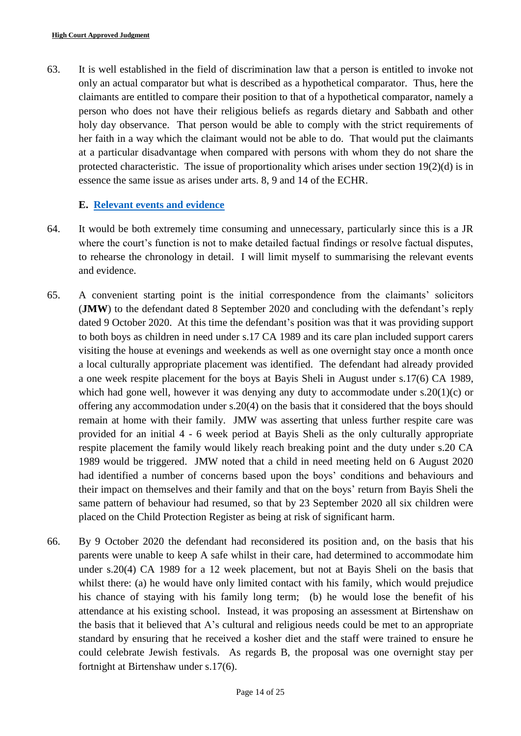63. It is well established in the field of discrimination law that a person is entitled to invoke not only an actual comparator but what is described as a hypothetical comparator. Thus, here the claimants are entitled to compare their position to that of a hypothetical comparator, namely a person who does not have their religious beliefs as regards dietary and Sabbath and other holy day observance. That person would be able to comply with the strict requirements of her faith in a way which the claimant would not be able to do. That would put the claimants at a particular disadvantage when compared with persons with whom they do not share the protected characteristic. The issue of proportionality which arises under section 19(2)(d) is in essence the same issue as arises under arts. 8, 9 and 14 of the ECHR.

# <span id="page-13-0"></span>**E. [Relevant events](#page-1-1) and evidence**

- 64. It would be both extremely time consuming and unnecessary, particularly since this is a JR where the court's function is not to make detailed factual findings or resolve factual disputes, to rehearse the chronology in detail. I will limit myself to summarising the relevant events and evidence.
- 65. A convenient starting point is the initial correspondence from the claimants' solicitors (**JMW**) to the defendant dated 8 September 2020 and concluding with the defendant's reply dated 9 October 2020. At this time the defendant's position was that it was providing support to both boys as children in need under s.17 CA 1989 and its care plan included support carers visiting the house at evenings and weekends as well as one overnight stay once a month once a local culturally appropriate placement was identified. The defendant had already provided a one week respite placement for the boys at Bayis Sheli in August under s.17(6) CA 1989, which had gone well, however it was denying any duty to accommodate under s.20(1)(c) or offering any accommodation under s.20(4) on the basis that it considered that the boys should remain at home with their family. JMW was asserting that unless further respite care was provided for an initial 4 - 6 week period at Bayis Sheli as the only culturally appropriate respite placement the family would likely reach breaking point and the duty under s.20 CA 1989 would be triggered. JMW noted that a child in need meeting held on 6 August 2020 had identified a number of concerns based upon the boys' conditions and behaviours and their impact on themselves and their family and that on the boys' return from Bayis Sheli the same pattern of behaviour had resumed, so that by 23 September 2020 all six children were placed on the Child Protection Register as being at risk of significant harm.
- 66. By 9 October 2020 the defendant had reconsidered its position and, on the basis that his parents were unable to keep A safe whilst in their care, had determined to accommodate him under s.20(4) CA 1989 for a 12 week placement, but not at Bayis Sheli on the basis that whilst there: (a) he would have only limited contact with his family, which would prejudice his chance of staying with his family long term; (b) he would lose the benefit of his attendance at his existing school. Instead, it was proposing an assessment at Birtenshaw on the basis that it believed that A's cultural and religious needs could be met to an appropriate standard by ensuring that he received a kosher diet and the staff were trained to ensure he could celebrate Jewish festivals. As regards B, the proposal was one overnight stay per fortnight at Birtenshaw under s.17(6).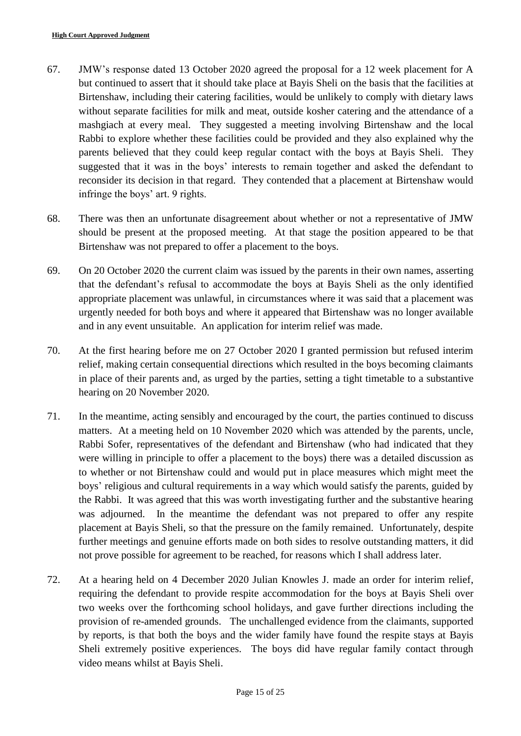- 67. JMW's response dated 13 October 2020 agreed the proposal for a 12 week placement for A but continued to assert that it should take place at Bayis Sheli on the basis that the facilities at Birtenshaw, including their catering facilities, would be unlikely to comply with dietary laws without separate facilities for milk and meat, outside kosher catering and the attendance of a mashgiach at every meal. They suggested a meeting involving Birtenshaw and the local Rabbi to explore whether these facilities could be provided and they also explained why the parents believed that they could keep regular contact with the boys at Bayis Sheli. They suggested that it was in the boys' interests to remain together and asked the defendant to reconsider its decision in that regard. They contended that a placement at Birtenshaw would infringe the boys' art. 9 rights.
- 68. There was then an unfortunate disagreement about whether or not a representative of JMW should be present at the proposed meeting. At that stage the position appeared to be that Birtenshaw was not prepared to offer a placement to the boys.
- 69. On 20 October 2020 the current claim was issued by the parents in their own names, asserting that the defendant's refusal to accommodate the boys at Bayis Sheli as the only identified appropriate placement was unlawful, in circumstances where it was said that a placement was urgently needed for both boys and where it appeared that Birtenshaw was no longer available and in any event unsuitable. An application for interim relief was made.
- 70. At the first hearing before me on 27 October 2020 I granted permission but refused interim relief, making certain consequential directions which resulted in the boys becoming claimants in place of their parents and, as urged by the parties, setting a tight timetable to a substantive hearing on 20 November 2020.
- 71. In the meantime, acting sensibly and encouraged by the court, the parties continued to discuss matters. At a meeting held on 10 November 2020 which was attended by the parents, uncle, Rabbi Sofer, representatives of the defendant and Birtenshaw (who had indicated that they were willing in principle to offer a placement to the boys) there was a detailed discussion as to whether or not Birtenshaw could and would put in place measures which might meet the boys' religious and cultural requirements in a way which would satisfy the parents, guided by the Rabbi. It was agreed that this was worth investigating further and the substantive hearing was adjourned. In the meantime the defendant was not prepared to offer any respite placement at Bayis Sheli, so that the pressure on the family remained. Unfortunately, despite further meetings and genuine efforts made on both sides to resolve outstanding matters, it did not prove possible for agreement to be reached, for reasons which I shall address later.
- 72. At a hearing held on 4 December 2020 Julian Knowles J. made an order for interim relief, requiring the defendant to provide respite accommodation for the boys at Bayis Sheli over two weeks over the forthcoming school holidays, and gave further directions including the provision of re-amended grounds. The unchallenged evidence from the claimants, supported by reports, is that both the boys and the wider family have found the respite stays at Bayis Sheli extremely positive experiences. The boys did have regular family contact through video means whilst at Bayis Sheli.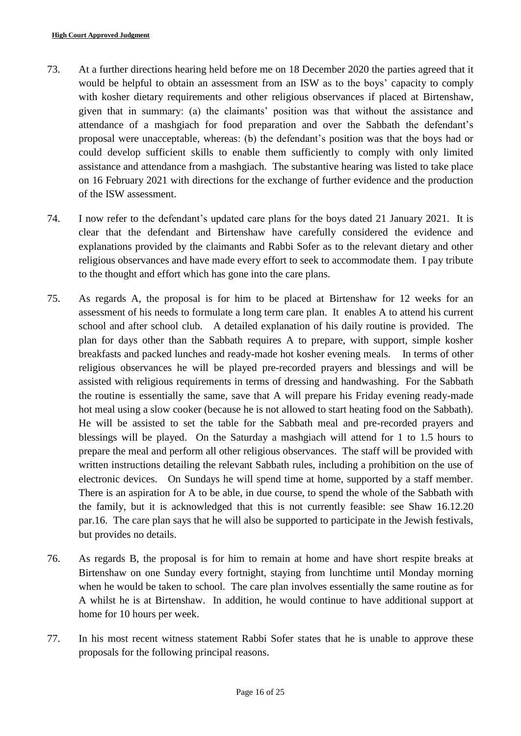- 73. At a further directions hearing held before me on 18 December 2020 the parties agreed that it would be helpful to obtain an assessment from an ISW as to the boys' capacity to comply with kosher dietary requirements and other religious observances if placed at Birtenshaw, given that in summary: (a) the claimants' position was that without the assistance and attendance of a mashgiach for food preparation and over the Sabbath the defendant's proposal were unacceptable, whereas: (b) the defendant's position was that the boys had or could develop sufficient skills to enable them sufficiently to comply with only limited assistance and attendance from a mashgiach. The substantive hearing was listed to take place on 16 February 2021 with directions for the exchange of further evidence and the production of the ISW assessment.
- 74. I now refer to the defendant's updated care plans for the boys dated 21 January 2021. It is clear that the defendant and Birtenshaw have carefully considered the evidence and explanations provided by the claimants and Rabbi Sofer as to the relevant dietary and other religious observances and have made every effort to seek to accommodate them. I pay tribute to the thought and effort which has gone into the care plans.
- 75. As regards A, the proposal is for him to be placed at Birtenshaw for 12 weeks for an assessment of his needs to formulate a long term care plan. It enables A to attend his current school and after school club. A detailed explanation of his daily routine is provided. The plan for days other than the Sabbath requires A to prepare, with support, simple kosher breakfasts and packed lunches and ready-made hot kosher evening meals. In terms of other religious observances he will be played pre-recorded prayers and blessings and will be assisted with religious requirements in terms of dressing and handwashing. For the Sabbath the routine is essentially the same, save that A will prepare his Friday evening ready-made hot meal using a slow cooker (because he is not allowed to start heating food on the Sabbath). He will be assisted to set the table for the Sabbath meal and pre-recorded prayers and blessings will be played. On the Saturday a mashgiach will attend for 1 to 1.5 hours to prepare the meal and perform all other religious observances. The staff will be provided with written instructions detailing the relevant Sabbath rules, including a prohibition on the use of electronic devices. On Sundays he will spend time at home, supported by a staff member. There is an aspiration for A to be able, in due course, to spend the whole of the Sabbath with the family, but it is acknowledged that this is not currently feasible: see Shaw 16.12.20 par.16. The care plan says that he will also be supported to participate in the Jewish festivals, but provides no details.
- 76. As regards B, the proposal is for him to remain at home and have short respite breaks at Birtenshaw on one Sunday every fortnight, staying from lunchtime until Monday morning when he would be taken to school. The care plan involves essentially the same routine as for A whilst he is at Birtenshaw. In addition, he would continue to have additional support at home for 10 hours per week.
- 77. In his most recent witness statement Rabbi Sofer states that he is unable to approve these proposals for the following principal reasons.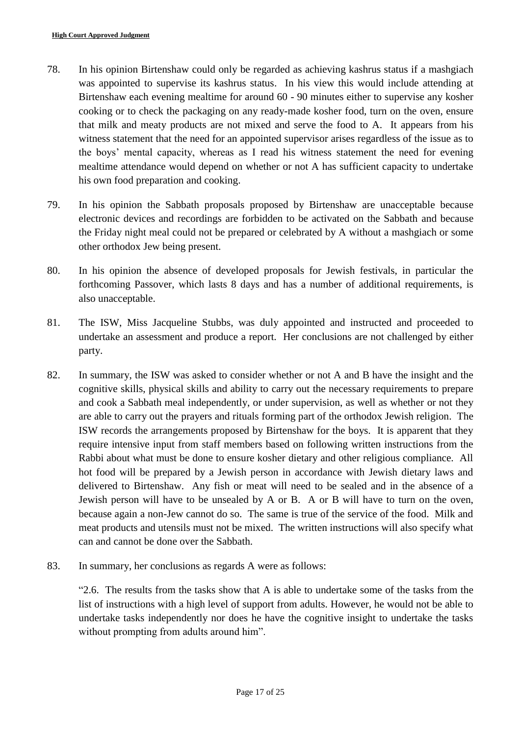- 78. In his opinion Birtenshaw could only be regarded as achieving kashrus status if a mashgiach was appointed to supervise its kashrus status. In his view this would include attending at Birtenshaw each evening mealtime for around 60 - 90 minutes either to supervise any kosher cooking or to check the packaging on any ready-made kosher food, turn on the oven, ensure that milk and meaty products are not mixed and serve the food to A. It appears from his witness statement that the need for an appointed supervisor arises regardless of the issue as to the boys' mental capacity, whereas as I read his witness statement the need for evening mealtime attendance would depend on whether or not A has sufficient capacity to undertake his own food preparation and cooking.
- 79. In his opinion the Sabbath proposals proposed by Birtenshaw are unacceptable because electronic devices and recordings are forbidden to be activated on the Sabbath and because the Friday night meal could not be prepared or celebrated by A without a mashgiach or some other orthodox Jew being present.
- 80. In his opinion the absence of developed proposals for Jewish festivals, in particular the forthcoming Passover, which lasts 8 days and has a number of additional requirements, is also unacceptable.
- 81. The ISW, Miss Jacqueline Stubbs, was duly appointed and instructed and proceeded to undertake an assessment and produce a report. Her conclusions are not challenged by either party.
- 82. In summary, the ISW was asked to consider whether or not A and B have the insight and the cognitive skills, physical skills and ability to carry out the necessary requirements to prepare and cook a Sabbath meal independently, or under supervision, as well as whether or not they are able to carry out the prayers and rituals forming part of the orthodox Jewish religion. The ISW records the arrangements proposed by Birtenshaw for the boys. It is apparent that they require intensive input from staff members based on following written instructions from the Rabbi about what must be done to ensure kosher dietary and other religious compliance. All hot food will be prepared by a Jewish person in accordance with Jewish dietary laws and delivered to Birtenshaw. Any fish or meat will need to be sealed and in the absence of a Jewish person will have to be unsealed by A or B. A or B will have to turn on the oven, because again a non-Jew cannot do so. The same is true of the service of the food. Milk and meat products and utensils must not be mixed. The written instructions will also specify what can and cannot be done over the Sabbath.
- 83. In summary, her conclusions as regards A were as follows:

"2.6. The results from the tasks show that A is able to undertake some of the tasks from the list of instructions with a high level of support from adults. However, he would not be able to undertake tasks independently nor does he have the cognitive insight to undertake the tasks without prompting from adults around him".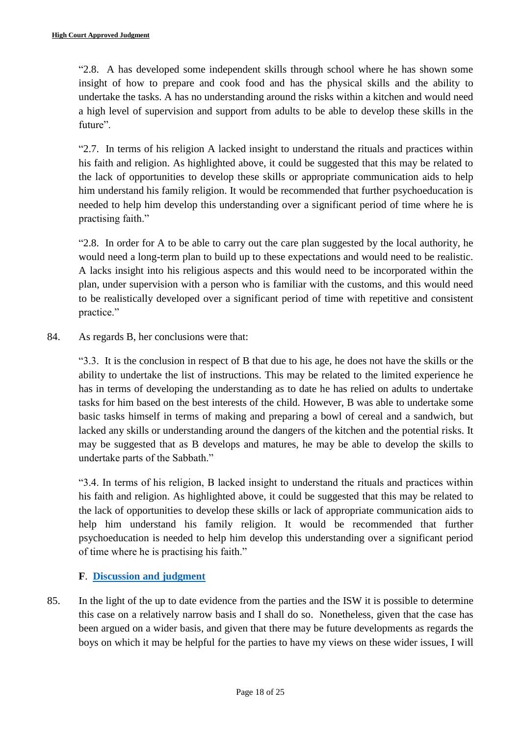"2.8. A has developed some independent skills through school where he has shown some insight of how to prepare and cook food and has the physical skills and the ability to undertake the tasks. A has no understanding around the risks within a kitchen and would need a high level of supervision and support from adults to be able to develop these skills in the future".

"2.7. In terms of his religion A lacked insight to understand the rituals and practices within his faith and religion. As highlighted above, it could be suggested that this may be related to the lack of opportunities to develop these skills or appropriate communication aids to help him understand his family religion. It would be recommended that further psychoeducation is needed to help him develop this understanding over a significant period of time where he is practising faith."

"2.8. In order for A to be able to carry out the care plan suggested by the local authority, he would need a long-term plan to build up to these expectations and would need to be realistic. A lacks insight into his religious aspects and this would need to be incorporated within the plan, under supervision with a person who is familiar with the customs, and this would need to be realistically developed over a significant period of time with repetitive and consistent practice."

84. As regards B, her conclusions were that:

"3.3. It is the conclusion in respect of B that due to his age, he does not have the skills or the ability to undertake the list of instructions. This may be related to the limited experience he has in terms of developing the understanding as to date he has relied on adults to undertake tasks for him based on the best interests of the child. However, B was able to undertake some basic tasks himself in terms of making and preparing a bowl of cereal and a sandwich, but lacked any skills or understanding around the dangers of the kitchen and the potential risks. It may be suggested that as B develops and matures, he may be able to develop the skills to undertake parts of the Sabbath."

"3.4. In terms of his religion, B lacked insight to understand the rituals and practices within his faith and religion. As highlighted above, it could be suggested that this may be related to the lack of opportunities to develop these skills or lack of appropriate communication aids to help him understand his family religion. It would be recommended that further psychoeducation is needed to help him develop this understanding over a significant period of time where he is practising his faith."

# **F**. **[Discussion and judgment](#page-1-1)**

<span id="page-17-0"></span>85. In the light of the up to date evidence from the parties and the ISW it is possible to determine this case on a relatively narrow basis and I shall do so. Nonetheless, given that the case has been argued on a wider basis, and given that there may be future developments as regards the boys on which it may be helpful for the parties to have my views on these wider issues, I will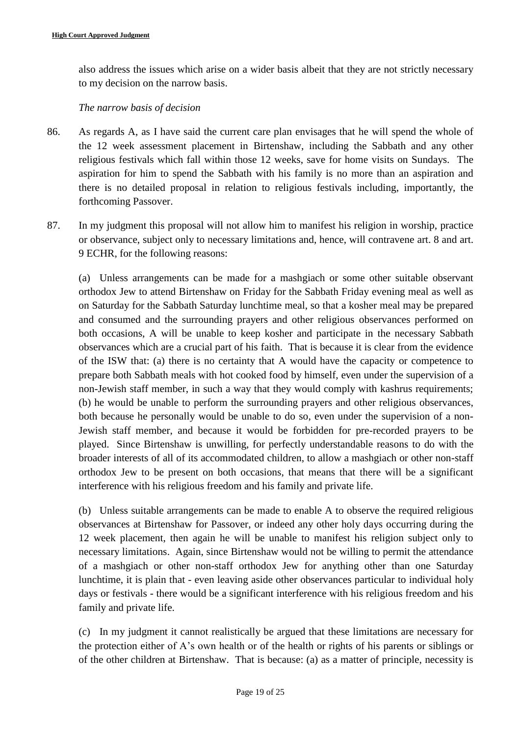also address the issues which arise on a wider basis albeit that they are not strictly necessary to my decision on the narrow basis.

### *The narrow basis of decision*

- 86. As regards A, as I have said the current care plan envisages that he will spend the whole of the 12 week assessment placement in Birtenshaw, including the Sabbath and any other religious festivals which fall within those 12 weeks, save for home visits on Sundays. The aspiration for him to spend the Sabbath with his family is no more than an aspiration and there is no detailed proposal in relation to religious festivals including, importantly, the forthcoming Passover.
- 87. In my judgment this proposal will not allow him to manifest his religion in worship, practice or observance, subject only to necessary limitations and, hence, will contravene art. 8 and art. 9 ECHR, for the following reasons:

(a) Unless arrangements can be made for a mashgiach or some other suitable observant orthodox Jew to attend Birtenshaw on Friday for the Sabbath Friday evening meal as well as on Saturday for the Sabbath Saturday lunchtime meal, so that a kosher meal may be prepared and consumed and the surrounding prayers and other religious observances performed on both occasions, A will be unable to keep kosher and participate in the necessary Sabbath observances which are a crucial part of his faith. That is because it is clear from the evidence of the ISW that: (a) there is no certainty that A would have the capacity or competence to prepare both Sabbath meals with hot cooked food by himself, even under the supervision of a non-Jewish staff member, in such a way that they would comply with kashrus requirements; (b) he would be unable to perform the surrounding prayers and other religious observances, both because he personally would be unable to do so, even under the supervision of a non-Jewish staff member, and because it would be forbidden for pre-recorded prayers to be played. Since Birtenshaw is unwilling, for perfectly understandable reasons to do with the broader interests of all of its accommodated children, to allow a mashgiach or other non-staff orthodox Jew to be present on both occasions, that means that there will be a significant interference with his religious freedom and his family and private life.

(b) Unless suitable arrangements can be made to enable A to observe the required religious observances at Birtenshaw for Passover, or indeed any other holy days occurring during the 12 week placement, then again he will be unable to manifest his religion subject only to necessary limitations. Again, since Birtenshaw would not be willing to permit the attendance of a mashgiach or other non-staff orthodox Jew for anything other than one Saturday lunchtime, it is plain that - even leaving aside other observances particular to individual holy days or festivals - there would be a significant interference with his religious freedom and his family and private life.

(c) In my judgment it cannot realistically be argued that these limitations are necessary for the protection either of A's own health or of the health or rights of his parents or siblings or of the other children at Birtenshaw. That is because: (a) as a matter of principle, necessity is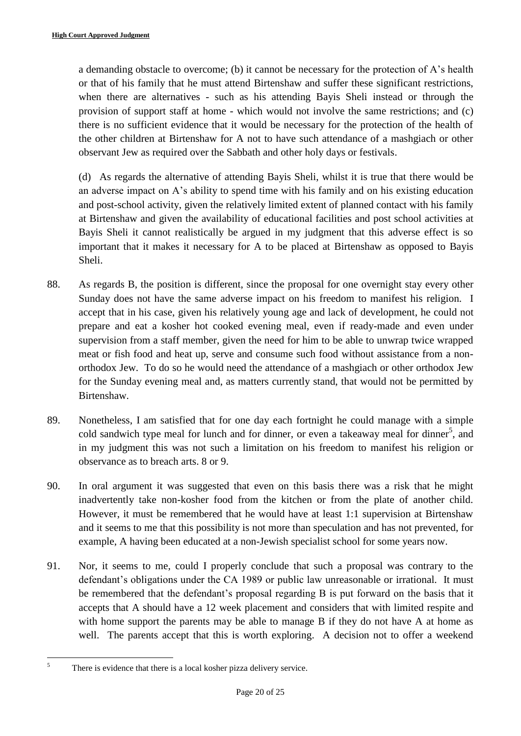a demanding obstacle to overcome; (b) it cannot be necessary for the protection of A's health or that of his family that he must attend Birtenshaw and suffer these significant restrictions, when there are alternatives - such as his attending Bayis Sheli instead or through the provision of support staff at home - which would not involve the same restrictions; and (c) there is no sufficient evidence that it would be necessary for the protection of the health of the other children at Birtenshaw for A not to have such attendance of a mashgiach or other observant Jew as required over the Sabbath and other holy days or festivals.

(d) As regards the alternative of attending Bayis Sheli, whilst it is true that there would be an adverse impact on A's ability to spend time with his family and on his existing education and post-school activity, given the relatively limited extent of planned contact with his family at Birtenshaw and given the availability of educational facilities and post school activities at Bayis Sheli it cannot realistically be argued in my judgment that this adverse effect is so important that it makes it necessary for A to be placed at Birtenshaw as opposed to Bayis Sheli.

- 88. As regards B, the position is different, since the proposal for one overnight stay every other Sunday does not have the same adverse impact on his freedom to manifest his religion. I accept that in his case, given his relatively young age and lack of development, he could not prepare and eat a kosher hot cooked evening meal, even if ready-made and even under supervision from a staff member, given the need for him to be able to unwrap twice wrapped meat or fish food and heat up, serve and consume such food without assistance from a nonorthodox Jew. To do so he would need the attendance of a mashgiach or other orthodox Jew for the Sunday evening meal and, as matters currently stand, that would not be permitted by Birtenshaw.
- 89. Nonetheless, I am satisfied that for one day each fortnight he could manage with a simple cold sandwich type meal for lunch and for dinner, or even a takeaway meal for dinner<sup>5</sup>, and in my judgment this was not such a limitation on his freedom to manifest his religion or observance as to breach arts. 8 or 9.
- 90. In oral argument it was suggested that even on this basis there was a risk that he might inadvertently take non-kosher food from the kitchen or from the plate of another child. However, it must be remembered that he would have at least 1:1 supervision at Birtenshaw and it seems to me that this possibility is not more than speculation and has not prevented, for example, A having been educated at a non-Jewish specialist school for some years now.
- 91. Nor, it seems to me, could I properly conclude that such a proposal was contrary to the defendant's obligations under the CA 1989 or public law unreasonable or irrational. It must be remembered that the defendant's proposal regarding B is put forward on the basis that it accepts that A should have a 12 week placement and considers that with limited respite and with home support the parents may be able to manage B if they do not have A at home as well. The parents accept that this is worth exploring. A decision not to offer a weekend

<sup>5</sup> <sup>5</sup> There is evidence that there is a local kosher pizza delivery service.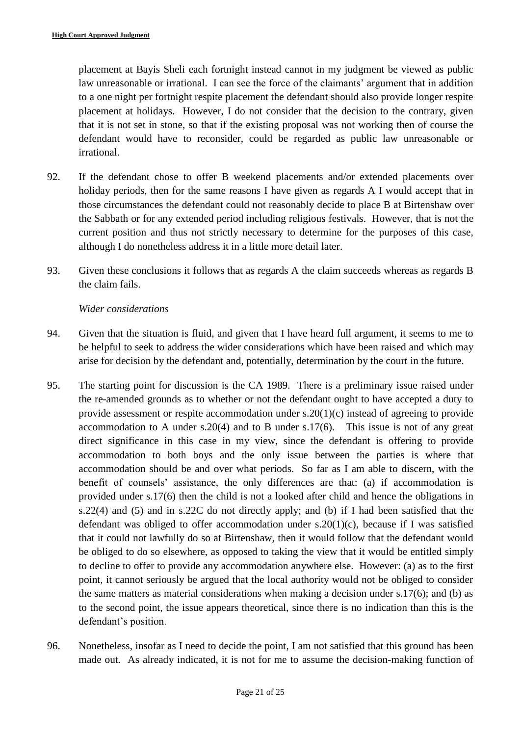placement at Bayis Sheli each fortnight instead cannot in my judgment be viewed as public law unreasonable or irrational. I can see the force of the claimants' argument that in addition to a one night per fortnight respite placement the defendant should also provide longer respite placement at holidays. However, I do not consider that the decision to the contrary, given that it is not set in stone, so that if the existing proposal was not working then of course the defendant would have to reconsider, could be regarded as public law unreasonable or irrational.

- 92. If the defendant chose to offer B weekend placements and/or extended placements over holiday periods, then for the same reasons I have given as regards A I would accept that in those circumstances the defendant could not reasonably decide to place B at Birtenshaw over the Sabbath or for any extended period including religious festivals. However, that is not the current position and thus not strictly necessary to determine for the purposes of this case, although I do nonetheless address it in a little more detail later.
- 93. Given these conclusions it follows that as regards A the claim succeeds whereas as regards B the claim fails.

#### *Wider considerations*

- 94. Given that the situation is fluid, and given that I have heard full argument, it seems to me to be helpful to seek to address the wider considerations which have been raised and which may arise for decision by the defendant and, potentially, determination by the court in the future.
- 95. The starting point for discussion is the CA 1989. There is a preliminary issue raised under the re-amended grounds as to whether or not the defendant ought to have accepted a duty to provide assessment or respite accommodation under s.20(1)(c) instead of agreeing to provide accommodation to A under s.20(4) and to B under s.17(6). This issue is not of any great direct significance in this case in my view, since the defendant is offering to provide accommodation to both boys and the only issue between the parties is where that accommodation should be and over what periods. So far as I am able to discern, with the benefit of counsels' assistance, the only differences are that: (a) if accommodation is provided under s.17(6) then the child is not a looked after child and hence the obligations in s.22(4) and (5) and in s.22C do not directly apply; and (b) if I had been satisfied that the defendant was obliged to offer accommodation under s.20(1)(c), because if I was satisfied that it could not lawfully do so at Birtenshaw, then it would follow that the defendant would be obliged to do so elsewhere, as opposed to taking the view that it would be entitled simply to decline to offer to provide any accommodation anywhere else. However: (a) as to the first point, it cannot seriously be argued that the local authority would not be obliged to consider the same matters as material considerations when making a decision under s.17(6); and (b) as to the second point, the issue appears theoretical, since there is no indication than this is the defendant's position.
- 96. Nonetheless, insofar as I need to decide the point, I am not satisfied that this ground has been made out. As already indicated, it is not for me to assume the decision-making function of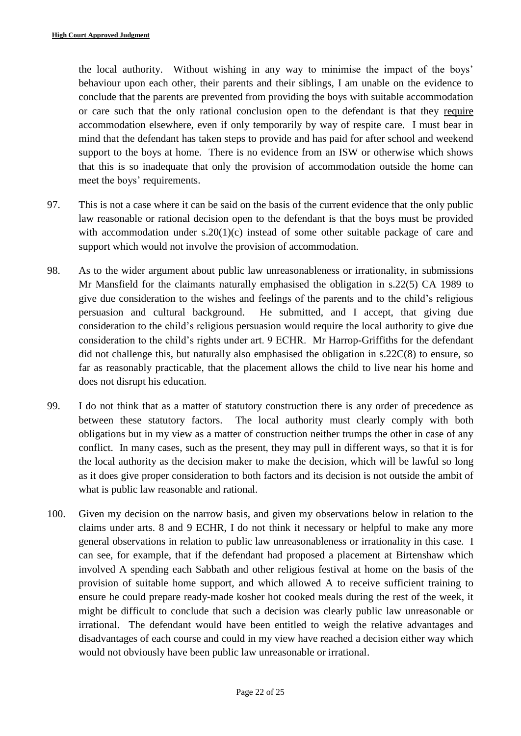the local authority. Without wishing in any way to minimise the impact of the boys' behaviour upon each other, their parents and their siblings, I am unable on the evidence to conclude that the parents are prevented from providing the boys with suitable accommodation or care such that the only rational conclusion open to the defendant is that they require accommodation elsewhere, even if only temporarily by way of respite care. I must bear in mind that the defendant has taken steps to provide and has paid for after school and weekend support to the boys at home. There is no evidence from an ISW or otherwise which shows that this is so inadequate that only the provision of accommodation outside the home can meet the boys' requirements.

- 97. This is not a case where it can be said on the basis of the current evidence that the only public law reasonable or rational decision open to the defendant is that the boys must be provided with accommodation under s.20(1)(c) instead of some other suitable package of care and support which would not involve the provision of accommodation.
- 98. As to the wider argument about public law unreasonableness or irrationality, in submissions Mr Mansfield for the claimants naturally emphasised the obligation in s.22(5) CA 1989 to give due consideration to the wishes and feelings of the parents and to the child's religious persuasion and cultural background. He submitted, and I accept, that giving due consideration to the child's religious persuasion would require the local authority to give due consideration to the child's rights under art. 9 ECHR. Mr Harrop-Griffiths for the defendant did not challenge this, but naturally also emphasised the obligation in s.22C(8) to ensure, so far as reasonably practicable, that the placement allows the child to live near his home and does not disrupt his education.
- 99. I do not think that as a matter of statutory construction there is any order of precedence as between these statutory factors. The local authority must clearly comply with both obligations but in my view as a matter of construction neither trumps the other in case of any conflict. In many cases, such as the present, they may pull in different ways, so that it is for the local authority as the decision maker to make the decision, which will be lawful so long as it does give proper consideration to both factors and its decision is not outside the ambit of what is public law reasonable and rational.
- 100. Given my decision on the narrow basis, and given my observations below in relation to the claims under arts. 8 and 9 ECHR, I do not think it necessary or helpful to make any more general observations in relation to public law unreasonableness or irrationality in this case. I can see, for example, that if the defendant had proposed a placement at Birtenshaw which involved A spending each Sabbath and other religious festival at home on the basis of the provision of suitable home support, and which allowed A to receive sufficient training to ensure he could prepare ready-made kosher hot cooked meals during the rest of the week, it might be difficult to conclude that such a decision was clearly public law unreasonable or irrational. The defendant would have been entitled to weigh the relative advantages and disadvantages of each course and could in my view have reached a decision either way which would not obviously have been public law unreasonable or irrational.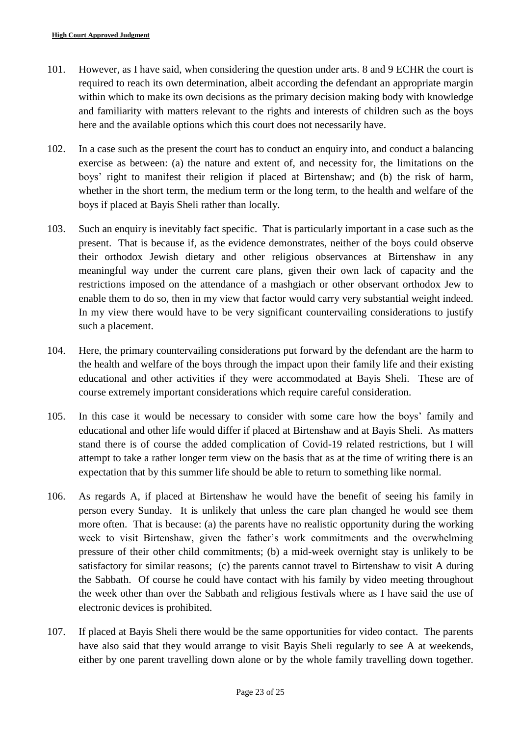- 101. However, as I have said, when considering the question under arts. 8 and 9 ECHR the court is required to reach its own determination, albeit according the defendant an appropriate margin within which to make its own decisions as the primary decision making body with knowledge and familiarity with matters relevant to the rights and interests of children such as the boys here and the available options which this court does not necessarily have.
- 102. In a case such as the present the court has to conduct an enquiry into, and conduct a balancing exercise as between: (a) the nature and extent of, and necessity for, the limitations on the boys' right to manifest their religion if placed at Birtenshaw; and (b) the risk of harm, whether in the short term, the medium term or the long term, to the health and welfare of the boys if placed at Bayis Sheli rather than locally.
- 103. Such an enquiry is inevitably fact specific. That is particularly important in a case such as the present. That is because if, as the evidence demonstrates, neither of the boys could observe their orthodox Jewish dietary and other religious observances at Birtenshaw in any meaningful way under the current care plans, given their own lack of capacity and the restrictions imposed on the attendance of a mashgiach or other observant orthodox Jew to enable them to do so, then in my view that factor would carry very substantial weight indeed. In my view there would have to be very significant countervailing considerations to justify such a placement.
- 104. Here, the primary countervailing considerations put forward by the defendant are the harm to the health and welfare of the boys through the impact upon their family life and their existing educational and other activities if they were accommodated at Bayis Sheli. These are of course extremely important considerations which require careful consideration.
- 105. In this case it would be necessary to consider with some care how the boys' family and educational and other life would differ if placed at Birtenshaw and at Bayis Sheli. As matters stand there is of course the added complication of Covid-19 related restrictions, but I will attempt to take a rather longer term view on the basis that as at the time of writing there is an expectation that by this summer life should be able to return to something like normal.
- 106. As regards A, if placed at Birtenshaw he would have the benefit of seeing his family in person every Sunday. It is unlikely that unless the care plan changed he would see them more often. That is because: (a) the parents have no realistic opportunity during the working week to visit Birtenshaw, given the father's work commitments and the overwhelming pressure of their other child commitments; (b) a mid-week overnight stay is unlikely to be satisfactory for similar reasons; (c) the parents cannot travel to Birtenshaw to visit A during the Sabbath. Of course he could have contact with his family by video meeting throughout the week other than over the Sabbath and religious festivals where as I have said the use of electronic devices is prohibited.
- 107. If placed at Bayis Sheli there would be the same opportunities for video contact. The parents have also said that they would arrange to visit Bayis Sheli regularly to see A at weekends, either by one parent travelling down alone or by the whole family travelling down together.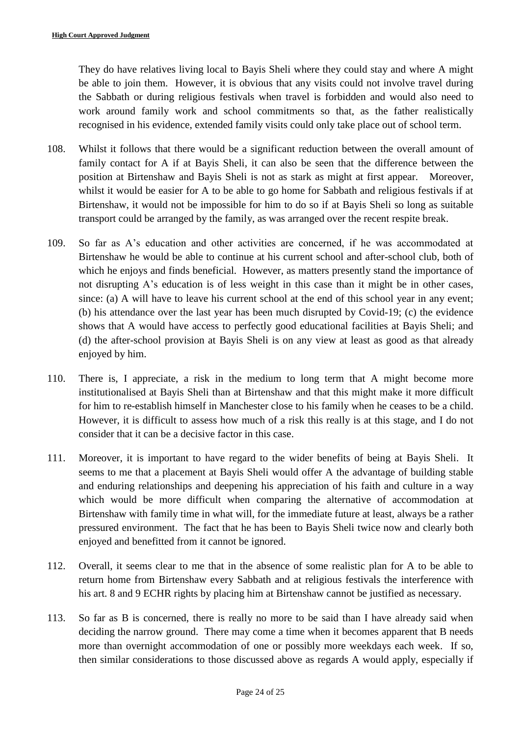They do have relatives living local to Bayis Sheli where they could stay and where A might be able to join them. However, it is obvious that any visits could not involve travel during the Sabbath or during religious festivals when travel is forbidden and would also need to work around family work and school commitments so that, as the father realistically recognised in his evidence, extended family visits could only take place out of school term.

- 108. Whilst it follows that there would be a significant reduction between the overall amount of family contact for A if at Bayis Sheli, it can also be seen that the difference between the position at Birtenshaw and Bayis Sheli is not as stark as might at first appear. Moreover, whilst it would be easier for A to be able to go home for Sabbath and religious festivals if at Birtenshaw, it would not be impossible for him to do so if at Bayis Sheli so long as suitable transport could be arranged by the family, as was arranged over the recent respite break.
- 109. So far as A's education and other activities are concerned, if he was accommodated at Birtenshaw he would be able to continue at his current school and after-school club, both of which he enjoys and finds beneficial. However, as matters presently stand the importance of not disrupting A's education is of less weight in this case than it might be in other cases, since: (a) A will have to leave his current school at the end of this school year in any event; (b) his attendance over the last year has been much disrupted by Covid-19; (c) the evidence shows that A would have access to perfectly good educational facilities at Bayis Sheli; and (d) the after-school provision at Bayis Sheli is on any view at least as good as that already enjoyed by him.
- 110. There is, I appreciate, a risk in the medium to long term that A might become more institutionalised at Bayis Sheli than at Birtenshaw and that this might make it more difficult for him to re-establish himself in Manchester close to his family when he ceases to be a child. However, it is difficult to assess how much of a risk this really is at this stage, and I do not consider that it can be a decisive factor in this case.
- 111. Moreover, it is important to have regard to the wider benefits of being at Bayis Sheli. It seems to me that a placement at Bayis Sheli would offer A the advantage of building stable and enduring relationships and deepening his appreciation of his faith and culture in a way which would be more difficult when comparing the alternative of accommodation at Birtenshaw with family time in what will, for the immediate future at least, always be a rather pressured environment. The fact that he has been to Bayis Sheli twice now and clearly both enjoyed and benefitted from it cannot be ignored.
- 112. Overall, it seems clear to me that in the absence of some realistic plan for A to be able to return home from Birtenshaw every Sabbath and at religious festivals the interference with his art. 8 and 9 ECHR rights by placing him at Birtenshaw cannot be justified as necessary.
- 113. So far as B is concerned, there is really no more to be said than I have already said when deciding the narrow ground. There may come a time when it becomes apparent that B needs more than overnight accommodation of one or possibly more weekdays each week. If so, then similar considerations to those discussed above as regards A would apply, especially if